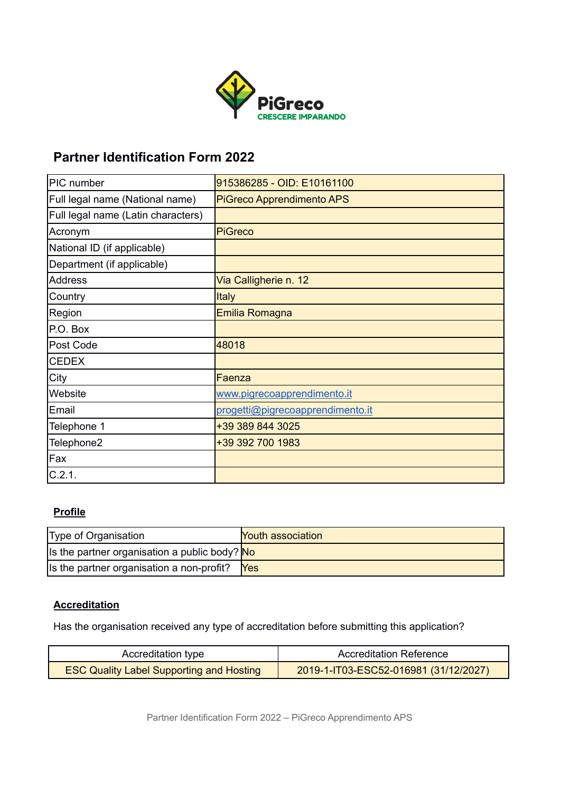

# **Partner Identification Form 2022**

| PIC number                         | 915386285 - OID: E10161100       |
|------------------------------------|----------------------------------|
| Full legal name (National name)    | <b>PiGreco Apprendimento APS</b> |
| Full legal name (Latin characters) |                                  |
| Acronym                            | <b>PiGreco</b>                   |
| National ID (if applicable)        |                                  |
| Department (if applicable)         |                                  |
| <b>Address</b>                     | Via Calligherie n. 12            |
| Country                            | <b>Italy</b>                     |
| Region                             | Emilia Romagna                   |
| P.O. Box                           |                                  |
| Post Code                          | 48018                            |
| <b>CEDEX</b>                       |                                  |
| City                               | Faenza                           |
| Website                            | www.pigrecoapprendimento.it      |
| Email                              | progetti@pigrecoapprendimento.it |
| Telephone 1                        | +39 389 844 3025                 |
| Telephone2                         | +39 392 700 1983                 |
| Fax                                |                                  |
| C.2.1.                             |                                  |

## **Profile**

| Type of Organisation                          | <b>Youth association</b> |
|-----------------------------------------------|--------------------------|
| Is the partner organisation a public body? No |                          |
| Its the partner organisation a non-profit?    | <b>Yes</b>               |

## **Accreditation**

Has the organisation received any type of accreditation before submitting this application?

| Accreditation type                              | <b>Accreditation Reference</b>        |
|-------------------------------------------------|---------------------------------------|
| <b>ESC Quality Label Supporting and Hosting</b> | 2019-1-IT03-ESC52-016981 (31/12/2027) |

Partner Identification Form 2022 – PiGreco Apprendimento APS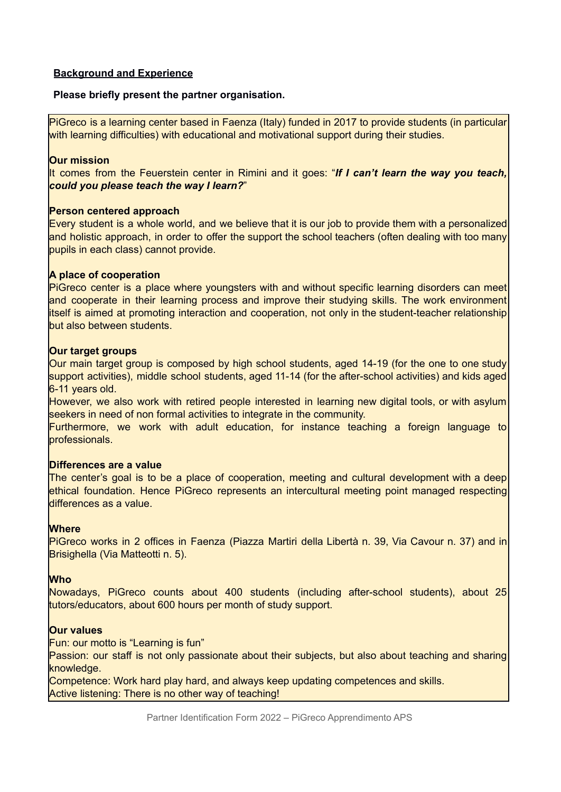### **Background and Experience**

#### **Please briefly present the partner organisation.**

PiGreco is a learning center based in Faenza (Italy) funded in 2017 to provide students (in particular with learning difficulties) with educational and motivational support during their studies.

#### **Our mission**

It comes from the Feuerstein center in Rimini and it goes: "*If I can't learn the way you teach, could you please teach the way I learn?*"

#### **Person centered approach**

Every student is a whole world, and we believe that it is our job to provide them with a personalized and holistic approach, in order to offer the support the school teachers (often dealing with too many pupils in each class) cannot provide.

#### **A place of cooperation**

PiGreco center is a place where youngsters with and without specific learning disorders can meet and cooperate in their learning process and improve their studying skills. The work environment itself is aimed at promoting interaction and cooperation, not only in the student-teacher relationship but also between students.

#### **Our target groups**

Our main target group is composed by high school students, aged 14-19 (for the one to one study support activities), middle school students, aged 11-14 (for the after-school activities) and kids aged 6-11 years old.

However, we also work with retired people interested in learning new digital tools, or with asylum seekers in need of non formal activities to integrate in the community.

Furthermore, we work with adult education, for instance teaching a foreign language to professionals.

#### **Differences are a value**

The center's goal is to be a place of cooperation, meeting and cultural development with a deep ethical foundation. Hence PiGreco represents an intercultural meeting point managed respecting differences as a value.

#### **Where**

PiGreco works in 2 offices in Faenza (Piazza Martiri della Libertà n. 39, Via Cavour n. 37) and in Brisighella (Via Matteotti n. 5).

#### **Who**

Nowadays, PiGreco counts about 400 students (including after-school students), about 25 tutors/educators, about 600 hours per month of study support.

#### **Our values**

Fun: our motto is "Learning is fun"

Passion: our staff is not only passionate about their subjects, but also about teaching and sharing knowledge.

Competence: Work hard play hard, and always keep updating competences and skills. Active listening: There is no other way of teaching!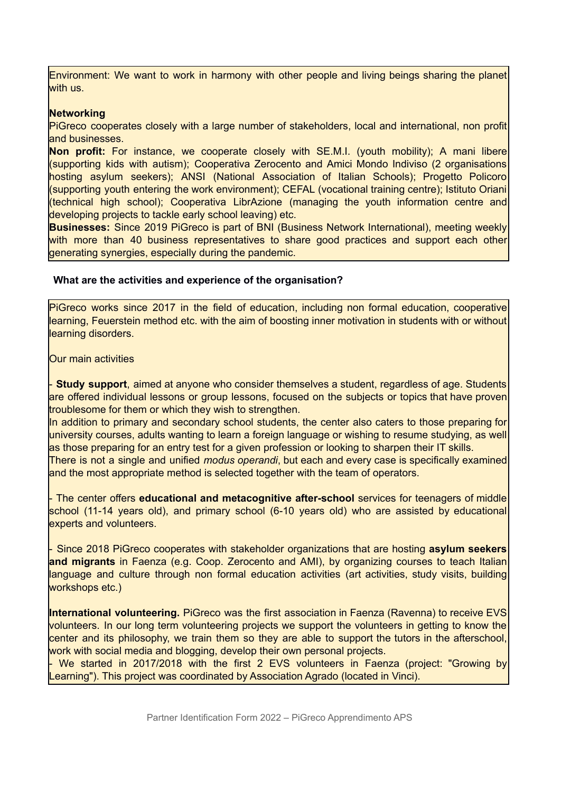Environment: We want to work in harmony with other people and living beings sharing the planet with us.

#### **Networking**

PiGreco cooperates closely with a large number of stakeholders, local and international, non profit and businesses.

**Non profit:** For instance, we cooperate closely with SE.M.I. (youth mobility); A mani libere (supporting kids with autism); Cooperativa Zerocento and Amici Mondo Indiviso (2 organisations hosting asylum seekers); ANSI (National Association of Italian Schools); Progetto Policoro (supporting youth entering the work environment); CEFAL (vocational training centre); Istituto Oriani (technical high school); Cooperativa LibrAzione (managing the youth information centre and developing projects to tackle early school leaving) etc.

**Businesses:** Since 2019 PiGreco is part of BNI (Business Network International), meeting weekly with more than 40 business representatives to share good practices and support each other generating synergies, especially during the pandemic.

#### **What are the activities and experience of the organisation?**

PiGreco works since 2017 in the field of education, including non formal education, cooperative learning, Feuerstein method etc. with the aim of boosting inner motivation in students with or without learning disorders.

Our main activities

- **Study support**, aimed at anyone who consider themselves a student, regardless of age. Students are offered individual lessons or group lessons, focused on the subjects or topics that have proven troublesome for them or which they wish to strengthen.

In addition to primary and secondary school students, the center also caters to those preparing for university courses, adults wanting to learn a foreign language or wishing to resume studying, as well as those preparing for an entry test for a given profession or looking to sharpen their IT skills.

There is not a single and unified *modus operandi*, but each and every case is specifically examined and the most appropriate method is selected together with the team of operators.

- The center offers **educational and metacognitive after-school** services for teenagers of middle school (11-14 years old), and primary school (6-10 years old) who are assisted by educational experts and volunteers.

- Since 2018 PiGreco cooperates with stakeholder organizations that are hosting **asylum seekers and migrants** in Faenza (e.g. Coop. Zerocento and AMI), by organizing courses to teach Italian language and culture through non formal education activities (art activities, study visits, building workshops etc.)

**International volunteering.** PiGreco was the first association in Faenza (Ravenna) to receive EVS volunteers. In our long term volunteering projects we support the volunteers in getting to know the center and its philosophy, we train them so they are able to support the tutors in the afterschool, work with social media and blogging, develop their own personal projects.

- We started in 2017/2018 with the first 2 EVS volunteers in Faenza (project: "Growing by Learning"). This project was coordinated by Association Agrado (located in Vinci).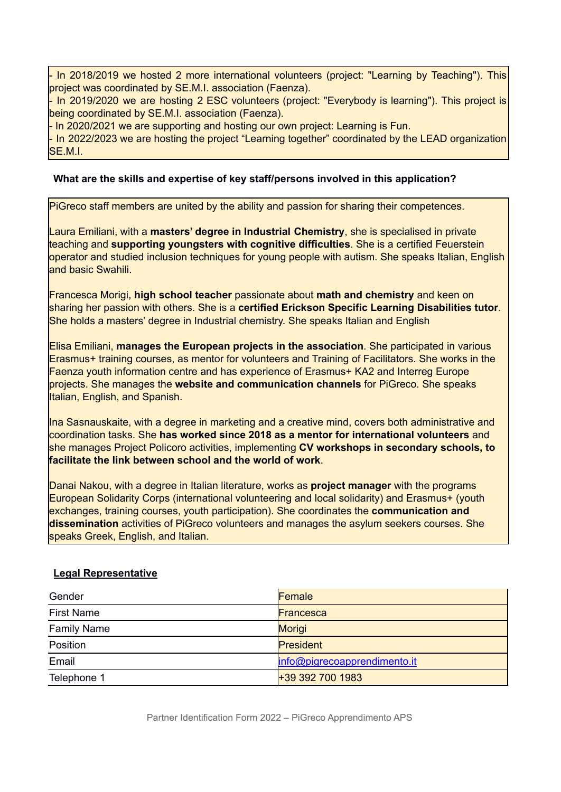In 2018/2019 we hosted 2 more international volunteers (project: "Learning by Teaching"). This project was coordinated by SE.M.I. association (Faenza).

- In 2019/2020 we are hosting 2 ESC volunteers (project: "Everybody is learning"). This project is being coordinated by SE.M.I. association (Faenza).

- In 2020/2021 we are supporting and hosting our own project: Learning is Fun.

- In 2022/2023 we are hosting the project "Learning together" coordinated by the LEAD organization SE.M.I.

### **What are the skills and expertise of key staff/persons involved in this application?**

PiGreco staff members are united by the ability and passion for sharing their competences.

Laura Emiliani, with a **masters' degree in Industrial Chemistry**, she is specialised in private teaching and **supporting youngsters with cognitive difficulties**. She is a certified Feuerstein operator and studied inclusion techniques for young people with autism. She speaks Italian, English and basic Swahili.

Francesca Morigi, **high school teacher** passionate about **math and chemistry** and keen on sharing her passion with others. She is a **certified Erickson Specific Learning Disabilities tutor**. She holds a masters' degree in Industrial chemistry. She speaks Italian and English

Elisa Emiliani, **manages the European projects in the association**. She participated in various Erasmus+ training courses, as mentor for volunteers and Training of Facilitators. She works in the Faenza youth information centre and has experience of Erasmus+ KA2 and Interreg Europe projects. She manages the **website and communication channels** for PiGreco. She speaks Italian, English, and Spanish.

Ina Sasnauskaite, with a degree in marketing and a creative mind, covers both administrative and coordination tasks. She **has worked since 2018 as a mentor for international volunteers** and she manages Project Policoro activities, implementing **CV workshops in secondary schools, to facilitate the link between school and the world of work**.

Danai Nakou, with a degree in Italian literature, works as **project manager** with the programs European Solidarity Corps (international volunteering and local solidarity) and Erasmus+ (youth exchanges, training courses, youth participation). She coordinates the **communication and dissemination** activities of PiGreco volunteers and manages the asylum seekers courses. She speaks Greek, English, and Italian.

#### **Legal Representative**

| Gender             | Female                       |
|--------------------|------------------------------|
| <b>First Name</b>  | Francesca                    |
| <b>Family Name</b> | <b>Morigi</b>                |
| Position           | President                    |
| Email              | info@pigrecoapprendimento.it |
| Telephone 1        | $+393927001983$              |